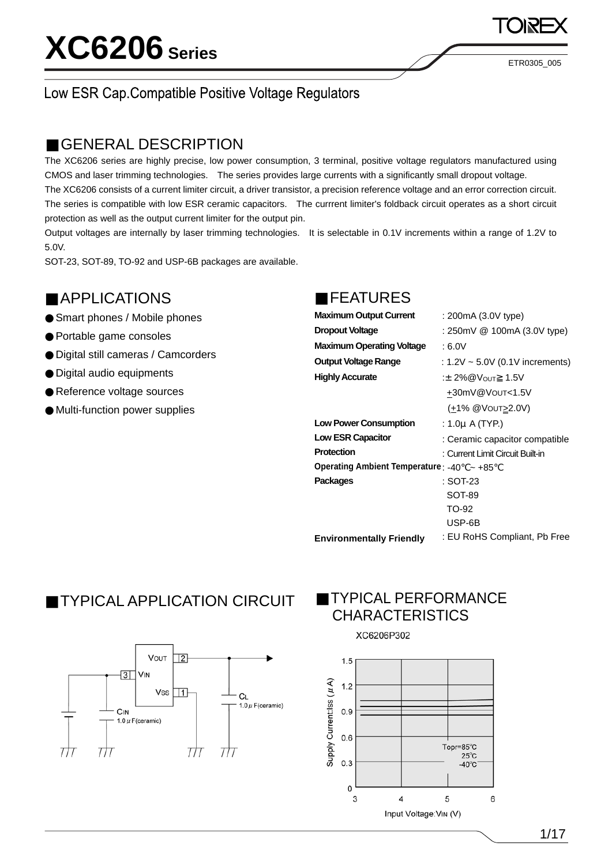# **XC6206 Series**

ETR0305\_005

## Low ESR Cap.Compatible Positive Voltage Regulators

## GENERAL DESCRIPTION

The XC6206 series are highly precise, low power consumption, 3 terminal, positive voltage regulators manufactured using CMOS and laser trimming technologies. The series provides large currents with a significantly small dropout voltage. The XC6206 consists of a current limiter circuit, a driver transistor, a precision reference voltage and an error correction circuit. The series is compatible with low ESR ceramic capacitors. The currrent limiter's foldback circuit operates as a short circuit

protection as well as the output current limiter for the output pin.

Output voltages are internally by laser trimming technologies. It is selectable in 0.1V increments within a range of 1.2V to 5.0V.

SOT-23, SOT-89, TO-92 and USP-6B packages are available.

## APPLICATIONS

Smart phones / Mobile phones Portable game consoles Digital still cameras / Camcorders Digital audio equipments Reference voltage sources Multi-function power supplies

### FEATURES

| <b>Maximum Output Current</b>                 | : 200mA (3.0V type)                  |
|-----------------------------------------------|--------------------------------------|
| <b>Dropout Voltage</b>                        | : 250mV @ 100mA (3.0V type)          |
| <b>Maximum Operating Voltage</b>              | : 6.0V                               |
| Output Voltage Range                          | : $1.2V \sim 5.0V$ (0.1V increments) |
| <b>Highly Accurate</b>                        | :± 2%@V <sub>OUT</sub> 1.5V          |
|                                               | +30mV@Vout<1.5V                      |
|                                               | (+1% @VOUT>2.0V)                     |
| <b>Low Power Consumption</b>                  | : 1.0µ A (TYP.)                      |
| <b>Low ESR Capacitor</b>                      | : Ceramic capacitor compatible       |
| Protection                                    | : Current Limit Circuit Built-in     |
| Operating Ambient Temperature: -40 $\sim +85$ |                                      |
| <b>Packages</b>                               | : SOT-23                             |
|                                               | SOT-89                               |
|                                               | TO-92                                |
|                                               | USP-6B                               |
| <b>Environmentally Friendly</b>               | : EU RoHS Compliant, Pb Free         |

## TYPICAL APPLICATION CIRCUIT



## TYPICAL PERFORMANCE **CHARACTERISTICS**

XC6206P302

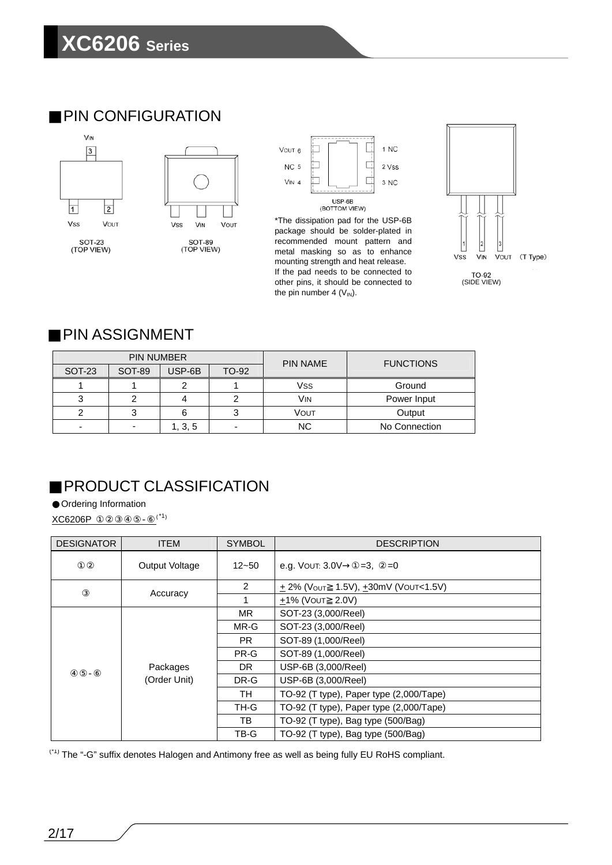## PIN CONFIGURATION





package should be solder-plated in recommended mount pattern and metal masking so as to enhance mounting strength and heat release. If the pad needs to be connected to other pins, it should be connected to the pin number 4  $(V_{IN})$ .



## PIN ASSIGNMENT

|               | <b>PIN NUMBER</b>        |         |                          | <b>PIN NAME</b>       | <b>FUNCTIONS</b> |
|---------------|--------------------------|---------|--------------------------|-----------------------|------------------|
| <b>SOT-23</b> | SOT-89                   | USP-6B  | TO-92                    |                       |                  |
|               |                          |         |                          | <b>Vss</b>            | Ground           |
|               |                          |         |                          | <b>V<sub>IN</sub></b> | Power Input      |
|               | 3                        |         | 3                        | Vout                  | Output           |
| -             | $\overline{\phantom{a}}$ | 1, 3, 5 | $\overline{\phantom{0}}$ | <b>NC</b>             | No Connection    |

## PRODUCT CLASSIFICATION

Ordering Information

 $XCG206P$  (\*1)

| <b>DESIGNATOR</b> | <b>ITEM</b>    | <b>SYMBOL</b>  | <b>DESCRIPTION</b>                                       |
|-------------------|----------------|----------------|----------------------------------------------------------|
|                   | Output Voltage | $12 - 50$      | e.g. Vout: 3.0V<br>$=3, =0$                              |
|                   | Accuracy       | $\overline{2}$ | $\pm$ 2% (V <sub>OUT</sub> 1.5V), $\pm$ 30mV (VOUT<1.5V) |
|                   |                |                | $+1\%$ (VOUT 2.0V)                                       |
|                   |                | MR.            | SOT-23 (3,000/Reel)                                      |
|                   |                | MR-G           | SOT-23 (3,000/Reel)                                      |
|                   | Packages       | PR.            | SOT-89 (1,000/Reel)                                      |
|                   |                | PR-G           | SOT-89 (1,000/Reel)                                      |
|                   |                | DR.            | USP-6B (3,000/Reel)                                      |
|                   | (Order Unit)   | DR-G           | USP-6B (3,000/Reel)                                      |
|                   |                | TH             | TO-92 (T type), Paper type (2,000/Tape)                  |
|                   |                | TH-G           | TO-92 (T type), Paper type (2,000/Tape)                  |
|                   |                | TB             | TO-92 (T type), Bag type (500/Bag)                       |
|                   |                | TB-G           | TO-92 (T type), Bag type (500/Bag)                       |

(\*1) The "-G" suffix denotes Halogen and Antimony free as well as being fully EU RoHS compliant.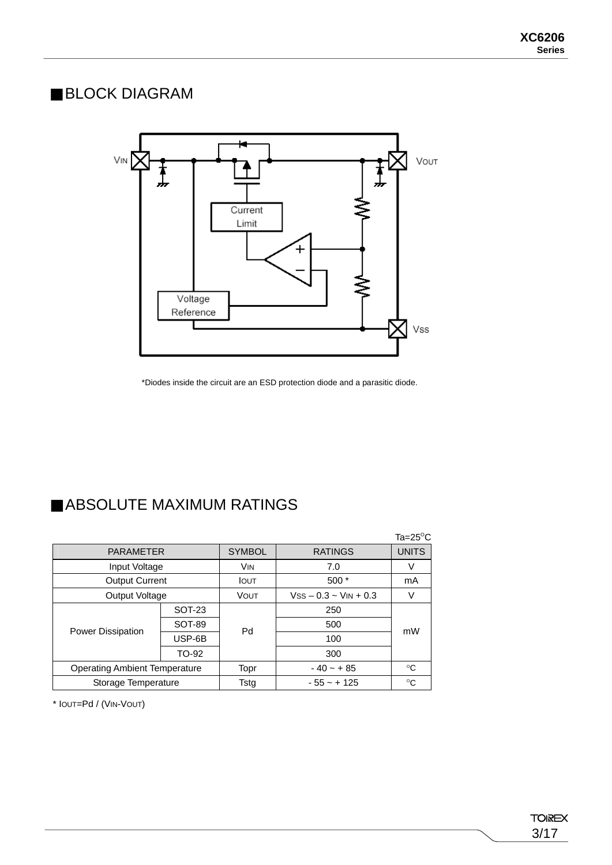## BLOCK DIAGRAM



\*Diodes inside the circuit are an ESD protection diode and a parasitic diode.

## ABSOLUTE MAXIMUM RATINGS

|                          |                                      |               |                            | $Ta = 25^{\circ}C$ |
|--------------------------|--------------------------------------|---------------|----------------------------|--------------------|
| <b>PARAMETER</b>         |                                      | <b>SYMBOL</b> | <b>RATINGS</b>             | <b>UNITS</b>       |
| Input Voltage            |                                      | <b>VIN</b>    | 7.0                        |                    |
| <b>Output Current</b>    |                                      | <b>IOUT</b>   | $500*$                     | mA                 |
| Output Voltage           |                                      | VOUT          | $VSS - 0.3 \sim VIN + 0.3$ |                    |
|                          | <b>SOT-23</b>                        |               | 250                        |                    |
|                          | SOT-89                               | Pd            | 500                        | mW                 |
| <b>Power Dissipation</b> | USP-6B                               |               | 100                        |                    |
|                          | TO-92                                |               | 300                        |                    |
|                          | <b>Operating Ambient Temperature</b> |               | $-40 - + 85$               | $^{\circ}C$        |
| Storage Temperature      |                                      | Tstg          | $-55 - + 125$              | $^{\circ}$ C       |

\* IOUT=Pd / (VIN-VOUT)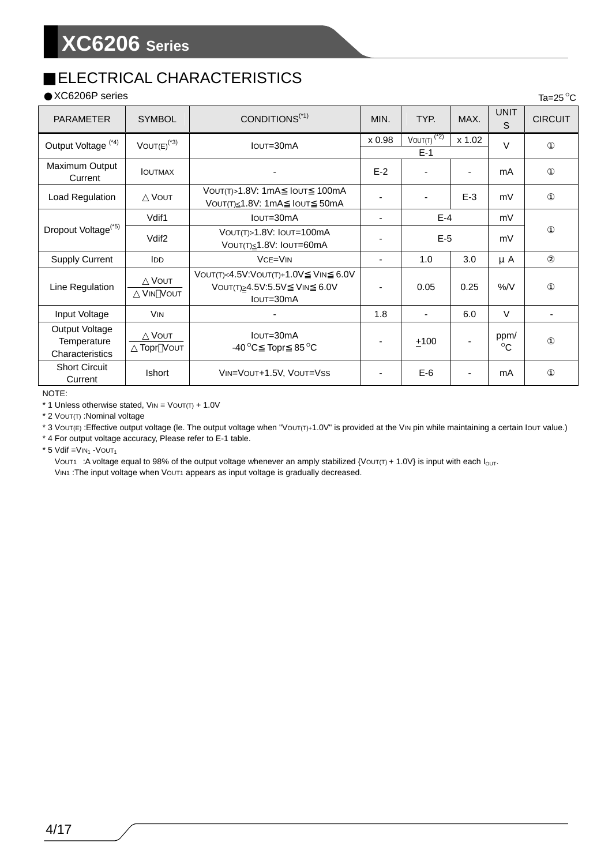## ELECTRICAL CHARACTERISTICS

XC6206P series

| XC6206P series                                   |                                |                                                                                                     |        |                          |                |                      | Ta=25 $\mathrm{^{\circ}C}$ |
|--------------------------------------------------|--------------------------------|-----------------------------------------------------------------------------------------------------|--------|--------------------------|----------------|----------------------|----------------------------|
| <b>PARAMETER</b>                                 | <b>SYMBOL</b>                  | CONDITIONS <sup>(*1)</sup>                                                                          | MIN.   | TYP.                     | MAX.           | <b>UNIT</b><br>S     | <b>CIRCUIT</b>             |
| Output Voltage <sup>(*4)</sup>                   | $VOUT(E)^{(*3)}$               | IOUT=30mA                                                                                           | x 0.98 | $VOUT(T)^{(2)}$<br>$E-1$ | x 1.02         | $\vee$               |                            |
| Maximum Output<br>Current                        | <b>IOUTMAX</b>                 |                                                                                                     | $E-2$  |                          | $\blacksquare$ | mA                   |                            |
| Load Regulation                                  | <b>VOUT</b>                    | 100mA<br>VOUT(T)>1.8V: 1mA<br><b>IOUT</b><br>Voυτ(τ)≤1.8V: 1mA<br><b>I</b> OUT<br>50 <sub>m</sub> A |        |                          | $E-3$          | mV                   |                            |
|                                                  | Vdif1                          | $I$ OUT= $30$ m $A$                                                                                 | ٠      | $E-4$                    |                | mV                   |                            |
| Dropout Voltage <sup>(*5)</sup>                  | Vdif <sub>2</sub>              | VOUT(T)>1.8V: IOUT=100mA<br>VOUT(T)≤1.8V: IOUT=60mA                                                 |        | $E-5$                    |                | mV                   |                            |
| <b>Supply Current</b>                            | <b>IDD</b>                     | $VCE=VIN$                                                                                           | ٠      | 1.0                      | 3.0            | μA                   |                            |
| Line Regulation                                  | <b>VOUT</b><br><b>VIN VOUT</b> | VOUT(T)<4.5V:VOUT(T)+1.0V VIN 6.0V<br>VOUT(T) 24.5V:5.5V VIN 6.0V<br>$I$ OUT= $30$ m $A$            |        | 0.05                     | 0.25           | $\%$ /V              |                            |
| Input Voltage                                    | <b>VIN</b>                     |                                                                                                     | 1.8    | $\overline{\phantom{a}}$ | 6.0            | $\vee$               |                            |
| Output Voltage<br>Temperature<br>Characteristics | <b>VOUT</b><br>Topr VOUT       | IOUT=30mA<br>-40 $^{\circ}$ C Topr 85 $^{\circ}$ C                                                  |        | ±100                     |                | ppm/<br>$^{\circ}$ C |                            |
| <b>Short Circuit</b><br>Current                  | <b>Ishort</b>                  | VIN=VOUT+1.5V, VOUT=VSS                                                                             |        | $E-6$                    |                | mA                   |                            |

NOTE:

 $*$  1 Unless otherwise stated,  $V_{IN} = V_{OUT(T)} + 1.0V$ 

\* 2 VOUT(T) :Nominal voltage

\* 3 VOUT(E) :Effective output voltage (le. The output voltage when "VOUT(T)+1.0V" is provided at the VIN pin while maintaining a certain IOUT value.)

\* 4 For output voltage accuracy, Please refer to E-1 table.

 $*$  5 Vdif = VIN<sub>1</sub> - VOUT<sub>1</sub>

VOUT1 : A voltage equal to 98% of the output voltage whenever an amply stabilized {VOUT(T) + 1.0V} is input with each I<sub>OUT</sub>.

VIN1 : The input voltage when Vout1 appears as input voltage is gradually decreased.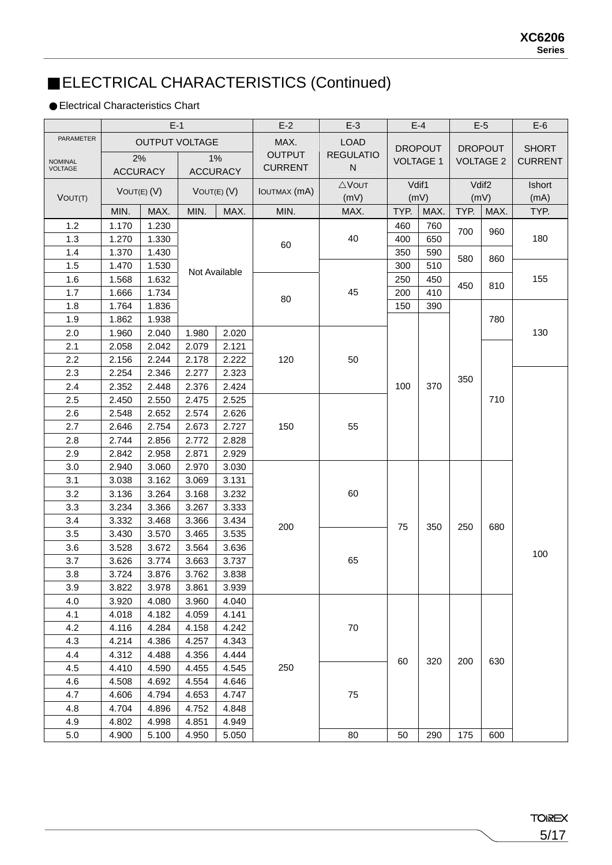## ELECTRICAL CHARACTERISTICS (Continued)

### Electrical Characteristics Chart

|                |                 | $E-1$                 |                |                 | $E-2$               | $E-3$            |      | $E-4$            |      | $E-5$             | $E-6$          |
|----------------|-----------------|-----------------------|----------------|-----------------|---------------------|------------------|------|------------------|------|-------------------|----------------|
| PARAMETER      |                 | <b>OUTPUT VOLTAGE</b> |                |                 | MAX.                | <b>LOAD</b>      |      | <b>DROPOUT</b>   |      | <b>DROPOUT</b>    | <b>SHORT</b>   |
| <b>NOMINAL</b> | 2%              |                       |                | 1%              | <b>OUTPUT</b>       | <b>REGULATIO</b> |      | <b>VOLTAGE 1</b> |      | <b>VOLTAGE 2</b>  | <b>CURRENT</b> |
| <b>VOLTAGE</b> | <b>ACCURACY</b> |                       |                | <b>ACCURACY</b> | <b>CURRENT</b>      | ${\sf N}$        |      |                  |      |                   |                |
|                | VOUT(E) (V)     |                       |                | VOUT(E) (V)     | <b>IOUTMAX</b> (mA) | $\triangle$ VOUT |      | Vdif1            |      | Vdif <sub>2</sub> | Ishort         |
| VOUT(T)        |                 |                       |                |                 |                     | (mV)             |      | (mV)             |      | (mV)              | (mA)           |
|                | MIN.            | MAX.                  | MIN.           | MAX.            | MIN.                | MAX.             | TYP. | MAX.             | TYP. | MAX.              | TYP.           |
| 1.2            | 1.170           | 1.230                 |                |                 |                     |                  | 460  | 760              | 700  | 960               |                |
| 1.3            | 1.270           | 1.330                 |                |                 | 60                  | 40               | 400  | 650              |      |                   | 180            |
| 1.4            | 1.370           | 1.430                 |                |                 |                     |                  | 350  | 590              | 580  | 860               |                |
| 1.5            | 1.470           | 1.530                 |                | Not Available   |                     |                  | 300  | 510              |      |                   |                |
| 1.6            | 1.568           | 1.632                 |                |                 |                     |                  | 250  | 450              | 450  | 810               | 155            |
| 1.7            | 1.666           | 1.734                 |                |                 | 80                  | 45               | 200  | 410              |      |                   |                |
| 1.8            | 1.764           | 1.836                 |                |                 |                     |                  | 150  | 390              |      |                   |                |
| 1.9<br>2.0     | 1.862<br>1.960  | 1.938<br>2.040        |                | 2.020           |                     |                  |      |                  |      | 780               | 130            |
| 2.1            | 2.058           | 2.042                 | 1.980<br>2.079 | 2.121           |                     |                  |      |                  |      |                   |                |
| 2.2            | 2.156           | 2.244                 | 2.178          | 2.222           | 120                 | 50               |      |                  |      |                   |                |
| 2.3            | 2.254           | 2.346                 | 2.277          | 2.323           |                     |                  |      |                  |      |                   |                |
| 2.4            | 2.352           | 2.448                 | 2.376          | 2.424           |                     |                  | 100  | 370              | 350  |                   |                |
| 2.5            | 2.450           | 2.550                 | 2.475          | 2.525           |                     |                  |      |                  |      | 710               |                |
| 2.6            | 2.548           | 2.652                 | 2.574          | 2.626           |                     |                  |      |                  |      |                   |                |
| 2.7            | 2.646           | 2.754                 | 2.673          | 2.727           | 150                 | 55               |      |                  |      |                   |                |
| 2.8            | 2.744           | 2.856                 | 2.772          | 2.828           |                     |                  |      |                  |      |                   |                |
| 2.9            | 2.842           | 2.958                 | 2.871          | 2.929           |                     |                  |      |                  |      |                   |                |
| 3.0            | 2.940           | 3.060                 | 2.970          | 3.030           |                     |                  |      |                  |      |                   |                |
| 3.1            | 3.038           | 3.162                 | 3.069          | 3.131           |                     |                  |      |                  |      |                   |                |
| 3.2            | 3.136           | 3.264                 | 3.168          | 3.232           |                     | 60               |      |                  |      |                   |                |
| 3.3            | 3.234           | 3.366                 | 3.267          | 3.333           |                     |                  |      |                  |      |                   |                |
| 3.4            | 3.332           | 3.468                 | 3.366          | 3.434           |                     |                  |      |                  |      |                   |                |
| 3.5            | 3.430           | 3.570                 | 3.465          | 3.535           | 200                 |                  | 75   | 350              | 250  | 680               |                |
| 3.6            | 3.528           | 3.672                 | 3.564          | 3.636           |                     |                  |      |                  |      |                   |                |
| 3.7            | 3.626           | 3.774                 | 3.663          | 3.737           |                     | 65               |      |                  |      |                   | 100            |
| 3.8            | 3.724           | 3.876                 | 3.762          | 3.838           |                     |                  |      |                  |      |                   |                |
| 3.9            | 3.822           | 3.978                 | 3.861          | 3.939           |                     |                  |      |                  |      |                   |                |
| 4.0            | 3.920           | 4.080                 | 3.960          | 4.040           |                     |                  |      |                  |      |                   |                |
| 4.1            | 4.018           | 4.182                 | 4.059          | 4.141           |                     |                  |      |                  |      |                   |                |
| 4.2            | 4.116           | 4.284                 | 4.158          | 4.242           |                     | 70               |      |                  |      |                   |                |
| 4.3            | 4.214           | 4.386                 | 4.257          | 4.343           |                     |                  |      |                  |      |                   |                |
| 4.4            | 4.312           | 4.488                 | 4.356          | 4.444           |                     |                  | 60   | 320              | 200  | 630               |                |
| 4.5            | 4.410           | 4.590                 | 4.455          | 4.545           | 250                 |                  |      |                  |      |                   |                |
| 4.6            | 4.508           | 4.692                 | 4.554          | 4.646           |                     |                  |      |                  |      |                   |                |
| 4.7            | 4.606           | 4.794                 | 4.653          | 4.747           |                     | 75               |      |                  |      |                   |                |
| 4.8            | 4.704           | 4.896                 | 4.752          | 4.848           |                     |                  |      |                  |      |                   |                |
| 4.9            | 4.802           | 4.998                 | 4.851          | 4.949           |                     |                  |      |                  |      |                   |                |
| 5.0            | 4.900           | 5.100                 | 4.950          | 5.050           |                     | 80               | 50   | 290              | 175  | 600               |                |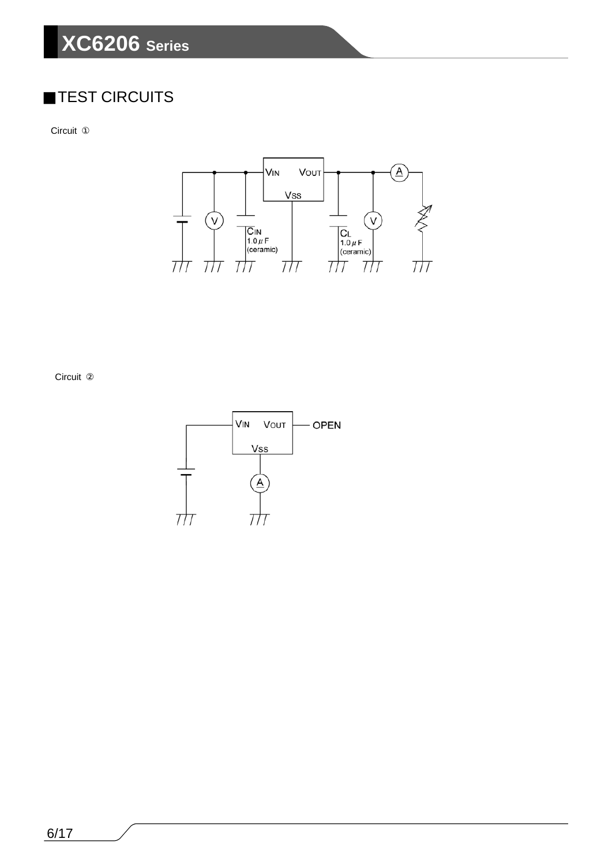## **XC6206 Series**

## TEST CIRCUITS

Circuit



Circuit

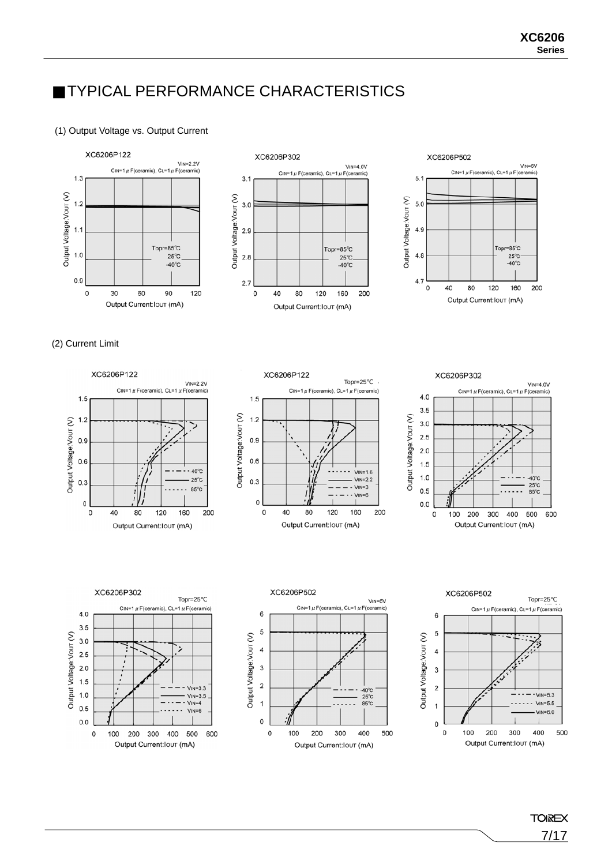## TYPICAL PERFORMANCE CHARACTERISTICS

### (1) Output Voltage vs. Output Current







### (2) Current Limit













**TOIREX** 7/17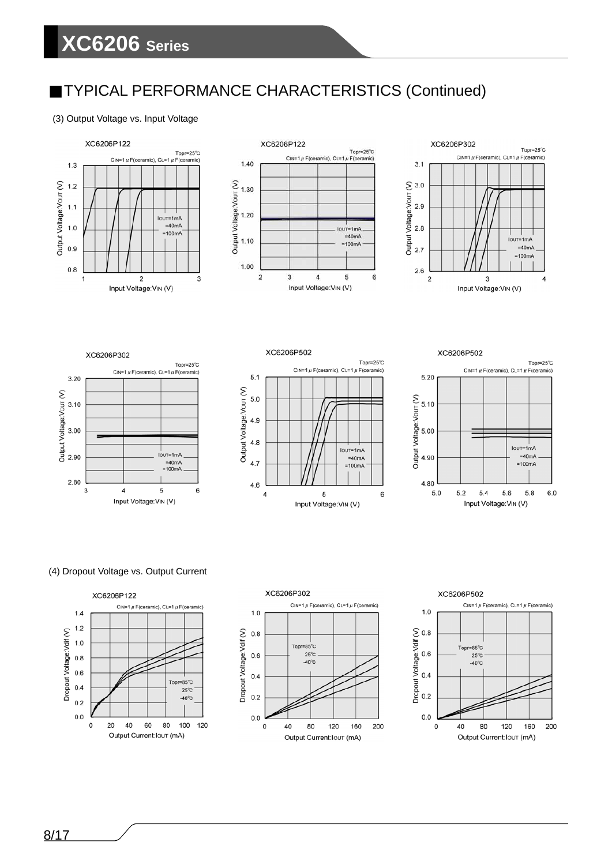### (3) Output Voltage vs. Input Voltage







XC6206P302 Topr=25°C CIN=1  $\mu$  F(ceramic), CL=1  $\mu$  F(ceramic)  $3.20$ ◯<br>
502 3.10<br>
502 3.00<br>
502 90 .<br>IOUT=1mA  $=40mA$  $=100mA$ 2.80

 $\sqrt{4}$ 

5

Input Voltage: VIN (V)

6

3





### (4) Dropout Voltage vs. Output Current





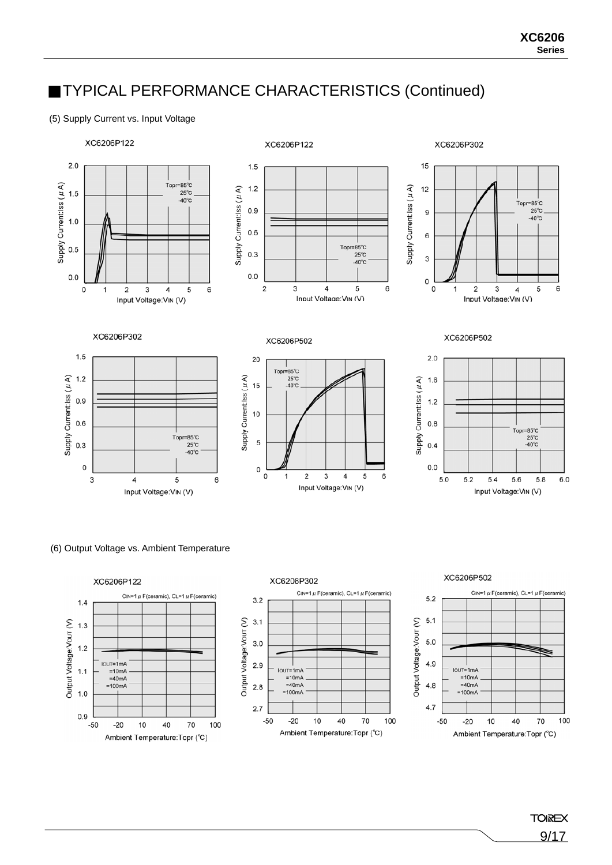### (5) Supply Current vs. Input Voltage



### (6) Output Voltage vs. Ambient Temperature



**TOIREX** 9/17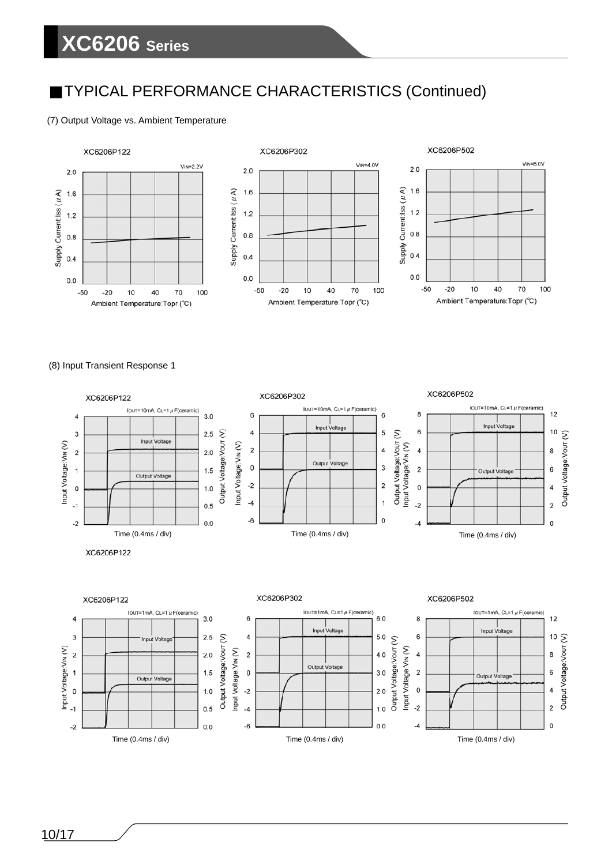## **XC6206 Series**

## TYPICAL PERFORMANCE CHARACTERISTICS (Continued)

### (7) Output Voltage vs. Ambient Temperature



(8) Input Transient Response 1

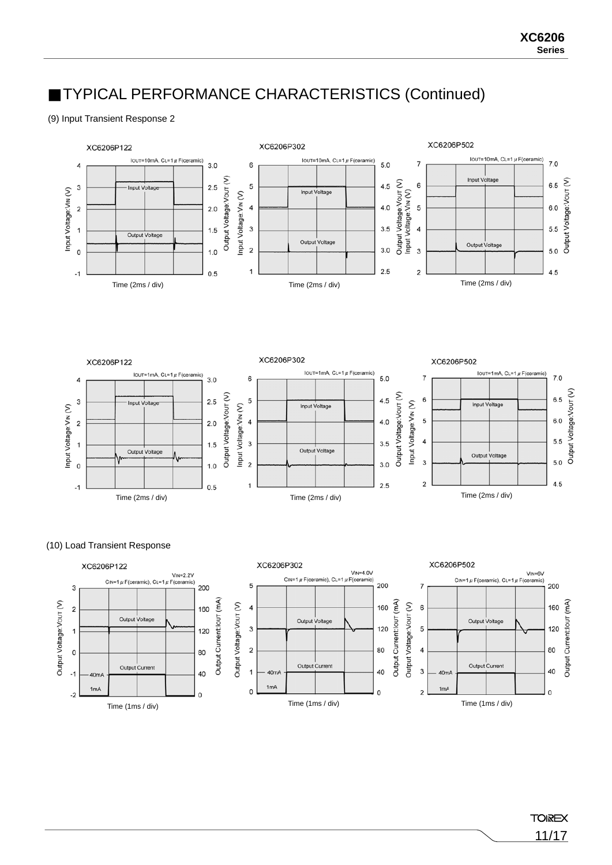### (9) Input Transient Response 2





### (10) Load Transient Response

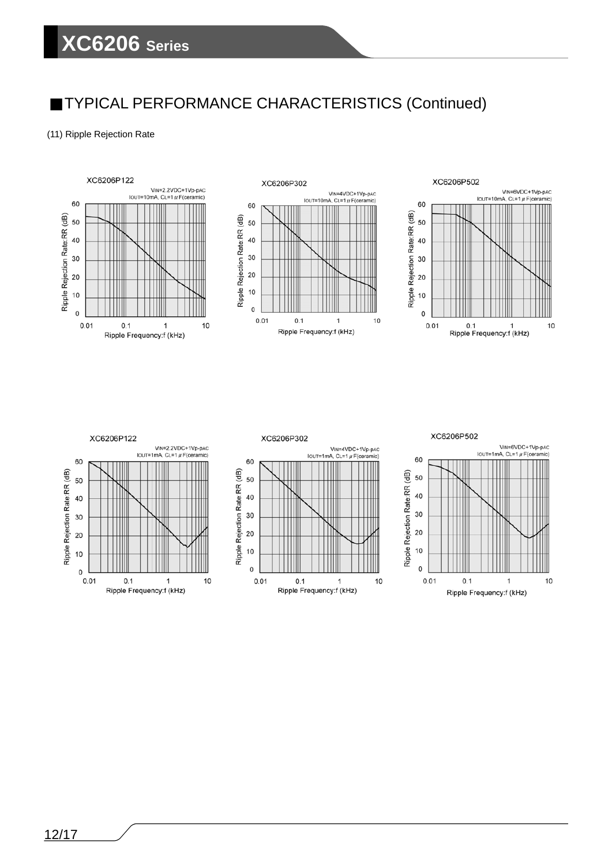### (11) Ripple Rejection Rate











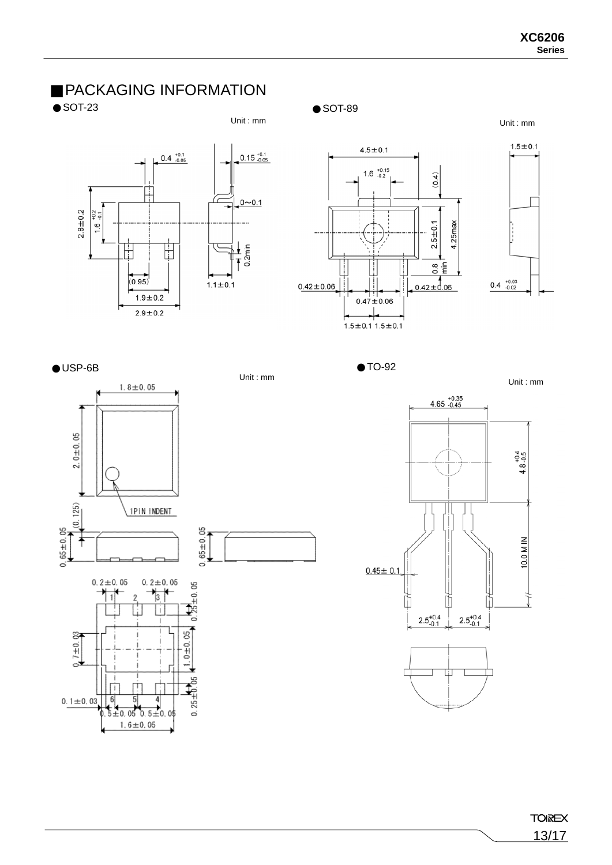## PACKAGING INFORMATION

### SOT-23 SOT-89

### Unit : mm Unit : mm





೪  $7 + 0.$ e

 $0.1 \pm 0.03$ 

| 6|

 $\frac{5}{3}$ 

4  $\frac{1}{20.05}$  0. 5 $\pm$ 0.0  $1.6 \pm 0.05$ 



 $1.0 \pm 0.05$ 

 $0.25 + 0.05$ 





Unit : mm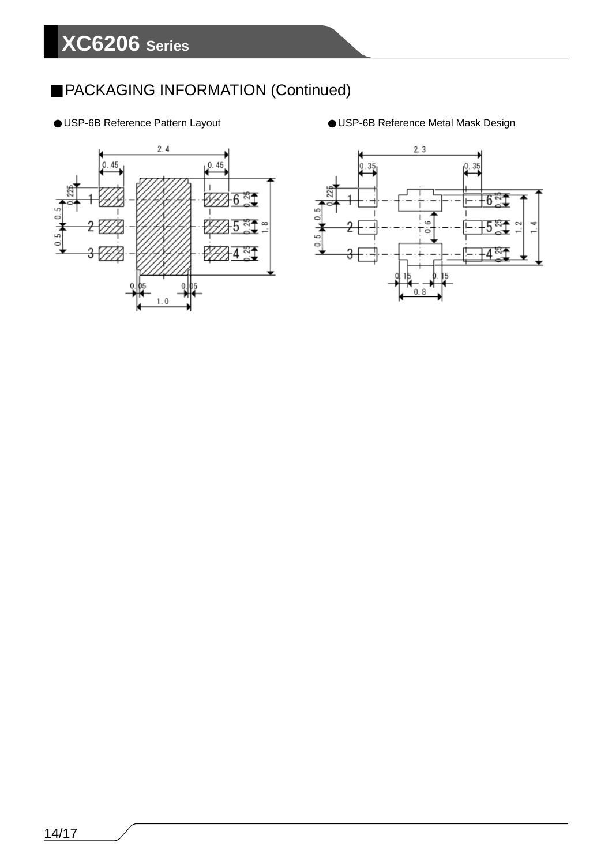## PACKAGING INFORMATION (Continued)





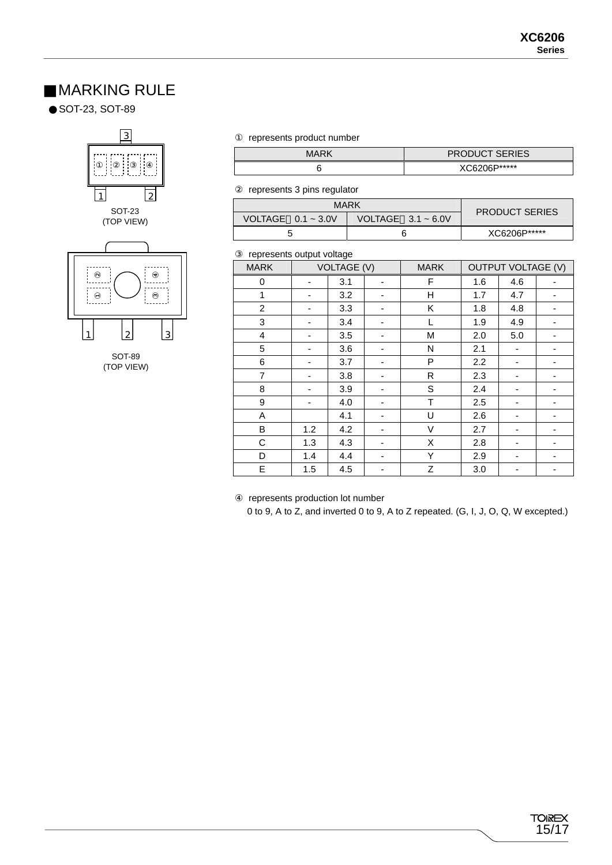## MARKING RULE

SOT-23, SOT-89



SOT-89 (TOP VIEW) represents product number

| MARK | <b>PRODUCT SERIES</b> |
|------|-----------------------|
|      | XC6206P*****          |

represents 3 pins regulator

| <b>MARK</b>             | <b>PRODUCT SERIES</b>   |              |
|-------------------------|-------------------------|--------------|
| VOLTAGE $0.1 \sim 3.0V$ | VOLTAGE $3.1 \sim 6.0V$ |              |
|                         |                         | XC6206P***** |

### represents output voltage

| . op. oooo ou.pu. . oa.go |                    |     |                              |   |                           |     |   |
|---------------------------|--------------------|-----|------------------------------|---|---------------------------|-----|---|
| <b>MARK</b>               | <b>VOLTAGE (V)</b> |     | <b>MARK</b>                  |   | <b>OUTPUT VOLTAGE (V)</b> |     |   |
| 0                         | -                  | 3.1 | $\overline{\phantom{a}}$     | F | 1.6                       | 4.6 |   |
| 1                         |                    | 3.2 | $\overline{\phantom{0}}$     | н | 1.7                       | 4.7 |   |
| $\overline{c}$            |                    | 3.3 | $\overline{\phantom{0}}$     | Κ | 1.8                       | 4.8 |   |
| 3                         | -                  | 3.4 | -                            | L | 1.9                       | 4.9 | - |
| $\overline{4}$            | -                  | 3.5 | $\overline{\phantom{0}}$     | M | 2.0                       | 5.0 |   |
| 5                         | -                  | 3.6 | $\overline{\phantom{0}}$     | N | 2.1                       | -   |   |
| 6                         | -                  | 3.7 | $\overline{\phantom{0}}$     | P | 2.2                       | -   |   |
| $\overline{7}$            |                    | 3.8 | -                            | R | 2.3                       | -   |   |
| 8                         |                    | 3.9 | $\qquad \qquad \blacksquare$ | S | 2.4                       |     |   |
| 9                         |                    | 4.0 | -                            | T | 2.5                       | -   |   |
| A                         |                    | 4.1 | -                            | U | 2.6                       | ٠   |   |
| B                         | 1.2                | 4.2 | $\overline{\phantom{0}}$     | V | 2.7                       | -   |   |
| С                         | 1.3                | 4.3 | -                            | X | 2.8                       | -   |   |
| D                         | 1.4                | 4.4 | -                            | Y | 2.9                       | -   | ٠ |
| E                         | 1.5                | 4.5 | -                            | Z | 3.0                       | -   | - |

represents production lot number

0 to 9, A to Z, and inverted 0 to 9, A to Z repeated. (G, I, J, O, Q, W excepted.)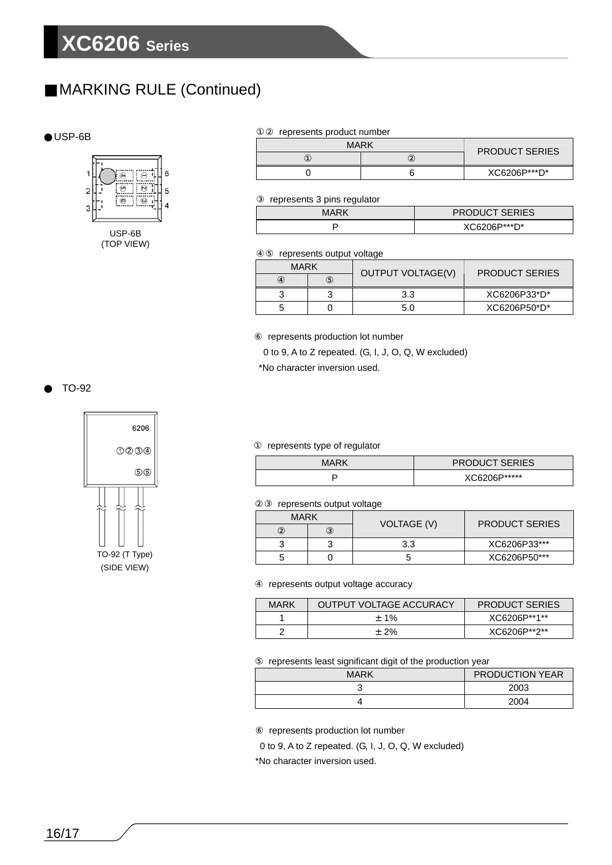## MARKING RULE (Continued)

### USP-6B



| represents product number |                       |              |  |  |  |
|---------------------------|-----------------------|--------------|--|--|--|
| <b>MARK</b>               | <b>PRODUCT SERIES</b> |              |  |  |  |
|                           |                       |              |  |  |  |
|                           |                       | XC6206P***D* |  |  |  |

represents 3 pins regulator

| <b>MARK</b> | <b>PRODUCT SERIES</b> |
|-------------|-----------------------|
|             | XC6206P***D*          |

### represents output voltage

| <b>MARK</b> | OUTPUT VOLTAGE(V) | <b>PRODUCT SERIES</b> |
|-------------|-------------------|-----------------------|
|             |                   |                       |
|             | 3.3               | XC6206P33*D*          |
| ∽           | 5.0               | XC6206P50*D*          |

represents production lot number

0 to 9, A to Z repeated. (G, I, J, O, Q, W excluded)

\*No character inversion used.

### TO-92



### represents type of regulator

| MARK | <b>PRODUCT SERIES</b> |
|------|-----------------------|
|      | XC6206P*****          |

### represents output voltage

| <b>MARK</b> |  |             | <b>PRODUCT SERIES</b> |
|-------------|--|-------------|-----------------------|
|             |  | VOLTAGE (V) |                       |
| ว<br>ື      |  | 3.3         | XC6206P33***          |
| 5           |  |             | XC6206P50***          |

### represents output voltage accuracy

| MARK | OUTPUT VOLTAGE ACCURACY | <b>PRODUCT SERIES</b> |
|------|-------------------------|-----------------------|
|      | $+1\%$                  | XC6206P**1**          |
|      | $±2\%$                  | XC6206P**2**          |

### represents least significant digit of the production year

| <b>MARK</b> | <b>PRODUCTION YEAR</b> |
|-------------|------------------------|
| ັ           | 2003                   |
|             | 2004                   |

represents production lot number

0 to 9, A to Z repeated. (G, I, J, O, Q, W excluded)

\*No character inversion used.